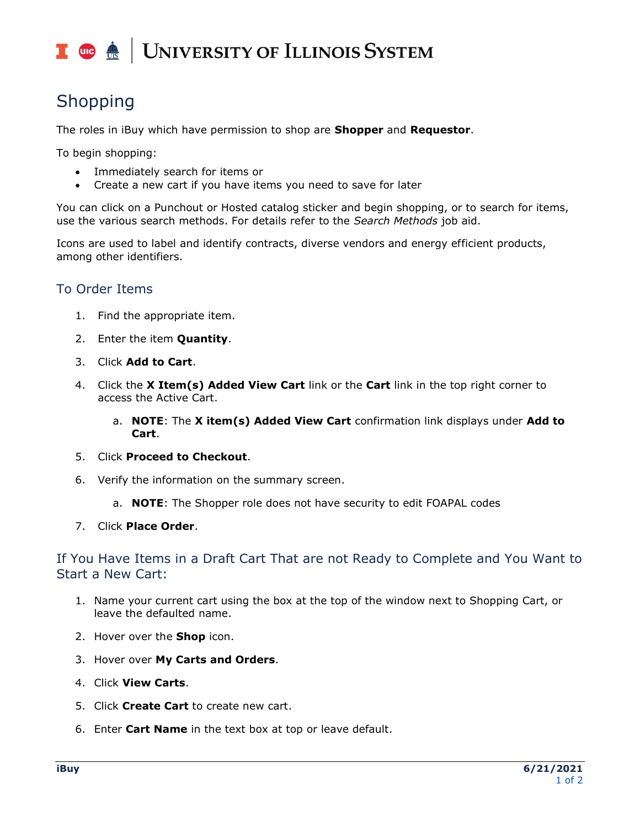## **UNIVERSITY OF ILLINOIS SYSTEM**  $\blacksquare$  or  $\bigoplus$

# Shopping

The roles in iBuy which have permission to shop are **Shopper** and **Requestor**.

To begin shopping:

- Immediately search for items or
- Create a new cart if you have items you need to save for later

You can click on a Punchout or Hosted catalog sticker and begin shopping, or to search for items, use the various search methods. For details refer to the *Search Methods* job aid.

Icons are used to label and identify contracts, diverse vendors and energy efficient products, among other identifiers.

# To Order Items

- 1. Find the appropriate item.
- 2. Enter the item **Quantity**.
- 3. Click **Add to Cart**.
- 4. Click the **X Item(s) Added View Cart** link or the **Cart** link in the top right corner to access the Active Cart.
	- a. **NOTE**: The **X item(s) Added View Cart** confirmation link displays under **Add to Cart**.
- 5. Click **Proceed to Checkout**.
- 6. Verify the information on the summary screen.
	- a. **NOTE**: The Shopper role does not have security to edit FOAPAL codes

#### 7. Click **Place Order**.

If You Have Items in a Draft Cart That are not Ready to Complete and You Want to Start a New Cart:

- 1. Name your current cart using the box at the top of the window next to Shopping Cart, or leave the defaulted name.
- 2. Hover over the **Shop** icon.
- 3. Hover over **My Carts and Orders**.
- 4. Click **View Carts**.
- 5. Click **Create Cart** to create new cart.
- 6. Enter **Cart Name** in the text box at top or leave default.